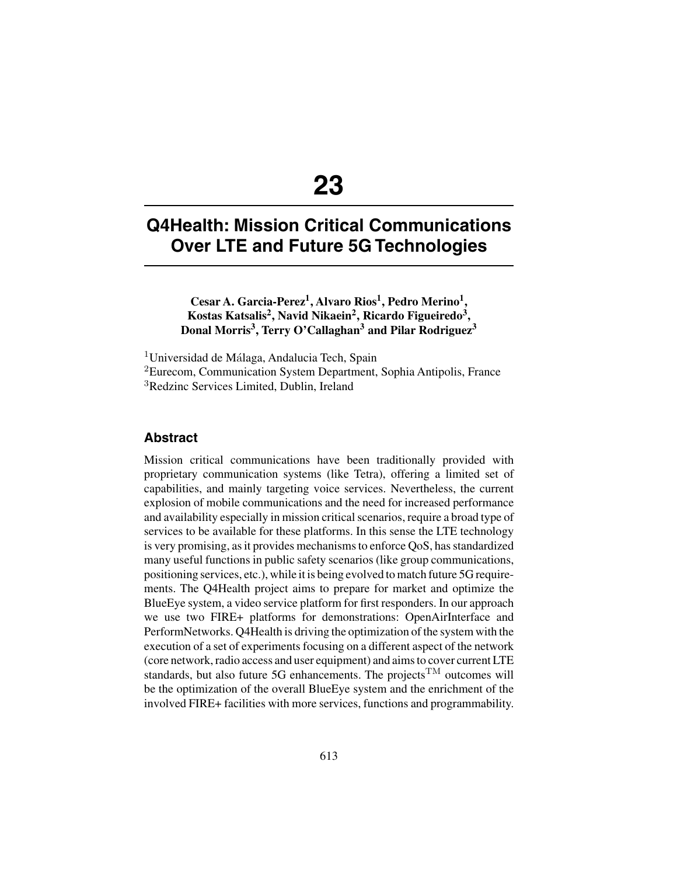**23**

# **Q4Health: Mission Critical Communications Over LTE and Future 5G Technologies**

Cesar A. Garcia-Perez<sup>1</sup>, Alvaro Rios<sup>1</sup>, Pedro Merino<sup>1</sup>, **Kostas Katsalis2, Navid Nikaein2, Ricardo Figueiredo3, Donal Morris3, Terry O'Callaghan3 and Pilar Rodriguez3**

<sup>1</sup>Universidad de Málaga, Andalucia Tech, Spain <sup>2</sup>Eurecom, Communication System Department, Sophia Antipolis, France <sup>3</sup>Redzinc Services Limited, Dublin, Ireland

## **Abstract**

Mission critical communications have been traditionally provided with proprietary communication systems (like Tetra), offering a limited set of capabilities, and mainly targeting voice services. Nevertheless, the current explosion of mobile communications and the need for increased performance and availability especially in mission critical scenarios, require a broad type of services to be available for these platforms. In this sense the LTE technology is very promising, as it provides mechanisms to enforce QoS, has standardized many useful functions in public safety scenarios (like group communications, positioning services, etc.), while it is being evolved to match future 5G requirements. The Q4Health project aims to prepare for market and optimize the BlueEye system, a video service platform for first responders. In our approach we use two FIRE+ platforms for demonstrations: OpenAirInterface and PerformNetworks. Q4Health is driving the optimization of the system with the execution of a set of experiments focusing on a different aspect of the network (core network, radio access and user equipment) and aims to cover current LTE standards, but also future 5G enhancements. The projects<sup>TM</sup> outcomes will be the optimization of the overall BlueEye system and the enrichment of the involved FIRE+ facilities with more services, functions and programmability.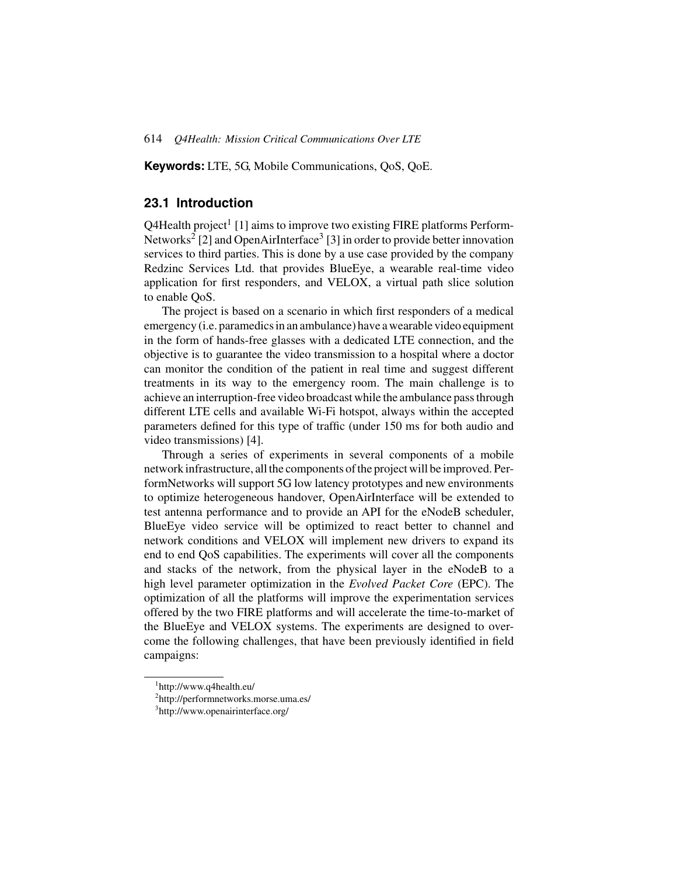**Keywords:** LTE, 5G, Mobile Communications, QoS, QoE.

# **23.1 Introduction**

Q4Health project<sup>1</sup> [1] aims to improve two existing FIRE platforms Perform-Networks<sup>2</sup> [2] and OpenAirInterface<sup>3</sup> [3] in order to provide better innovation services to third parties. This is done by a use case provided by the company Redzinc Services Ltd. that provides BlueEye, a wearable real-time video application for first responders, and VELOX, a virtual path slice solution to enable QoS.

The project is based on a scenario in which first responders of a medical emergency (i.e. paramedics in an ambulance) have a wearable video equipment in the form of hands-free glasses with a dedicated LTE connection, and the objective is to guarantee the video transmission to a hospital where a doctor can monitor the condition of the patient in real time and suggest different treatments in its way to the emergency room. The main challenge is to achieve an interruption-free video broadcast while the ambulance pass through different LTE cells and available Wi-Fi hotspot, always within the accepted parameters defined for this type of traffic (under 150 ms for both audio and video transmissions) [4].

Through a series of experiments in several components of a mobile network infrastructure, all the components of the project will be improved. PerformNetworks will support 5G low latency prototypes and new environments to optimize heterogeneous handover, OpenAirInterface will be extended to test antenna performance and to provide an API for the eNodeB scheduler, BlueEye video service will be optimized to react better to channel and network conditions and VELOX will implement new drivers to expand its end to end QoS capabilities. The experiments will cover all the components and stacks of the network, from the physical layer in the eNodeB to a high level parameter optimization in the *Evolved Packet Core* (EPC). The optimization of all the platforms will improve the experimentation services offered by the two FIRE platforms and will accelerate the time-to-market of the BlueEye and VELOX systems. The experiments are designed to overcome the following challenges, that have been previously identified in field campaigns:

<sup>1</sup> http://www.q4health.eu/

<sup>2</sup> http://performnetworks.morse.uma.es/

<sup>3</sup> http://www.openairinterface.org/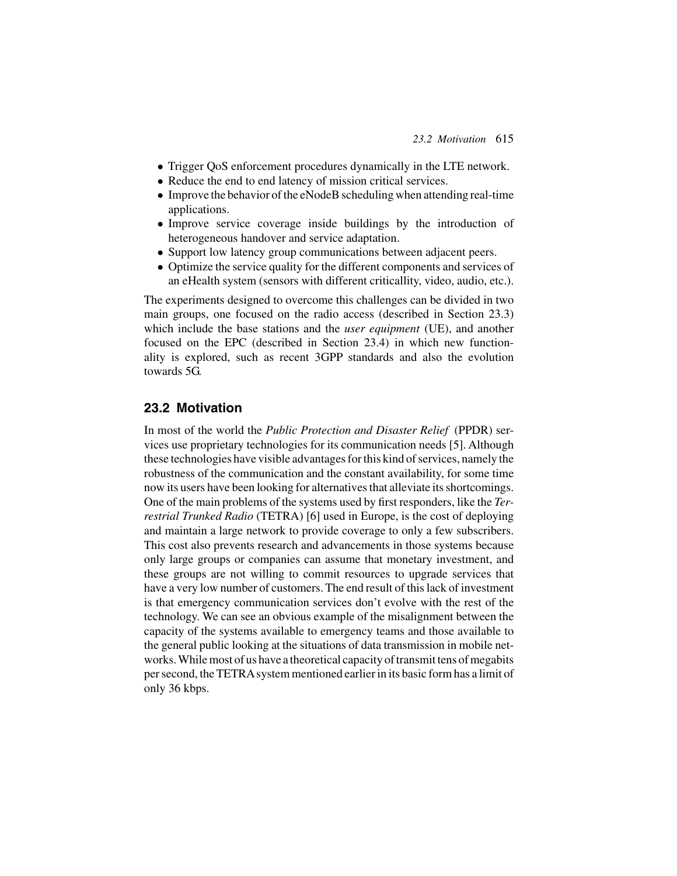- Trigger QoS enforcement procedures dynamically in the LTE network.
- Reduce the end to end latency of mission critical services.
- Improve the behavior of the eNodeB scheduling when attending real-time applications.
- Improve service coverage inside buildings by the introduction of heterogeneous handover and service adaptation.
- Support low latency group communications between adjacent peers.
- Optimize the service quality for the different components and services of an eHealth system (sensors with different criticallity, video, audio, etc.).

The experiments designed to overcome this challenges can be divided in two main groups, one focused on the radio access (described in Section 23.3) which include the base stations and the *user equipment* (UE), and another focused on the EPC (described in Section 23.4) in which new functionality is explored, such as recent 3GPP standards and also the evolution towards 5G.

# **23.2 Motivation**

In most of the world the *Public Protection and Disaster Relief* (PPDR) services use proprietary technologies for its communication needs [5]. Although these technologies have visible advantages for this kind of services, namely the robustness of the communication and the constant availability, for some time now its users have been looking for alternatives that alleviate its shortcomings. One of the main problems of the systems used by first responders, like the *Terrestrial Trunked Radio* (TETRA) [6] used in Europe, is the cost of deploying and maintain a large network to provide coverage to only a few subscribers. This cost also prevents research and advancements in those systems because only large groups or companies can assume that monetary investment, and these groups are not willing to commit resources to upgrade services that have a very low number of customers. The end result of this lack of investment is that emergency communication services don't evolve with the rest of the technology. We can see an obvious example of the misalignment between the capacity of the systems available to emergency teams and those available to the general public looking at the situations of data transmission in mobile networks.While most of us have a theoretical capacity of transmit tens of megabits per second, the TETRA system mentioned earlier in its basic form has a limit of only 36 kbps.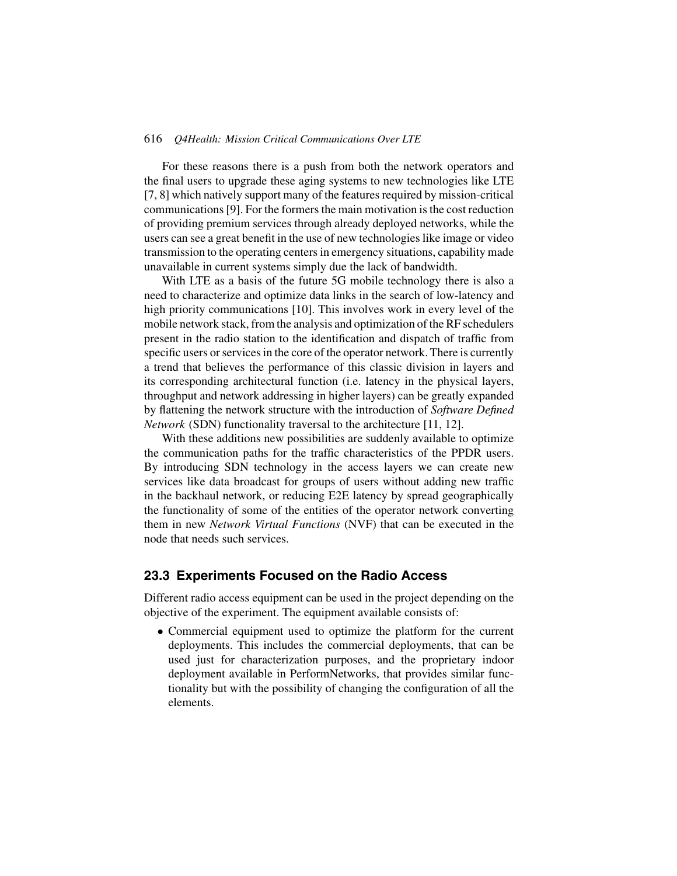#### 616 *Q4Health: Mission Critical Communications Over LTE*

For these reasons there is a push from both the network operators and the final users to upgrade these aging systems to new technologies like LTE [7, 8] which natively support many of the features required by mission-critical communications [9]. For the formers the main motivation is the cost reduction of providing premium services through already deployed networks, while the users can see a great benefit in the use of new technologies like image or video transmission to the operating centers in emergency situations, capability made unavailable in current systems simply due the lack of bandwidth.

With LTE as a basis of the future 5G mobile technology there is also a need to characterize and optimize data links in the search of low-latency and high priority communications [10]. This involves work in every level of the mobile network stack, from the analysis and optimization of the RF schedulers present in the radio station to the identification and dispatch of traffic from specific users or services in the core of the operator network. There is currently a trend that believes the performance of this classic division in layers and its corresponding architectural function (i.e. latency in the physical layers, throughput and network addressing in higher layers) can be greatly expanded by flattening the network structure with the introduction of *Software Defined Network* (SDN) functionality traversal to the architecture [11, 12].

With these additions new possibilities are suddenly available to optimize the communication paths for the traffic characteristics of the PPDR users. By introducing SDN technology in the access layers we can create new services like data broadcast for groups of users without adding new traffic in the backhaul network, or reducing E2E latency by spread geographically the functionality of some of the entities of the operator network converting them in new *Network Virtual Functions* (NVF) that can be executed in the node that needs such services.

## **23.3 Experiments Focused on the Radio Access**

Different radio access equipment can be used in the project depending on the objective of the experiment. The equipment available consists of:

• Commercial equipment used to optimize the platform for the current deployments. This includes the commercial deployments, that can be used just for characterization purposes, and the proprietary indoor deployment available in PerformNetworks, that provides similar functionality but with the possibility of changing the configuration of all the elements.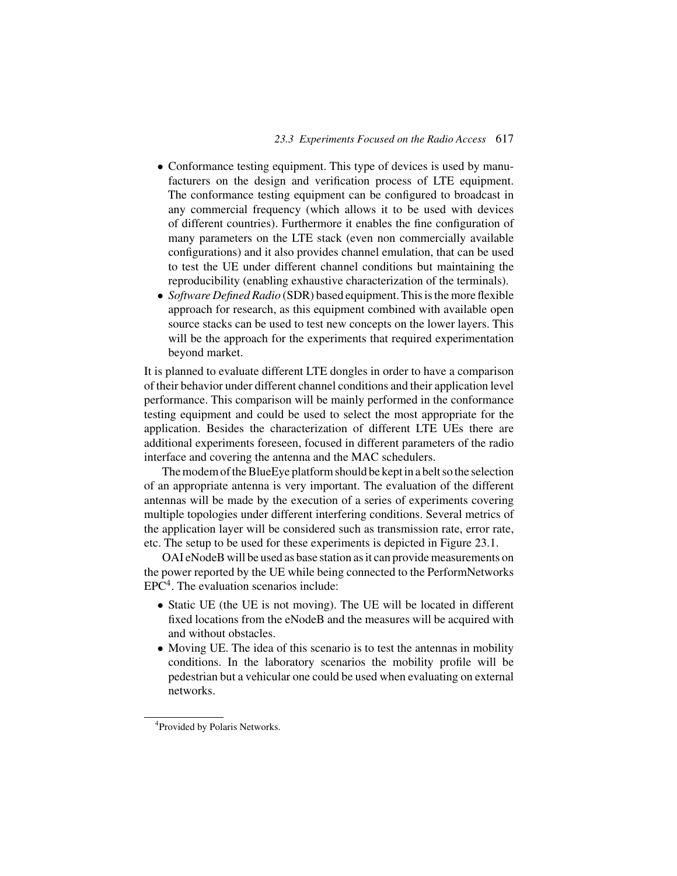- Conformance testing equipment. This type of devices is used by manufacturers on the design and verification process of LTE equipment. The conformance testing equipment can be configured to broadcast in any commercial frequency (which allows it to be used with devices of different countries). Furthermore it enables the fine configuration of many parameters on the LTE stack (even non commercially available configurations) and it also provides channel emulation, that can be used to test the UE under different channel conditions but maintaining the reproducibility (enabling exhaustive characterization of the terminals).
- *Software Defined Radio* (SDR) based equipment. This is the more flexible approach for research, as this equipment combined with available open source stacks can be used to test new concepts on the lower layers. This will be the approach for the experiments that required experimentation beyond market.

It is planned to evaluate different LTE dongles in order to have a comparison of their behavior under different channel conditions and their application level performance. This comparison will be mainly performed in the conformance testing equipment and could be used to select the most appropriate for the application. Besides the characterization of different LTE UEs there are additional experiments foreseen, focused in different parameters of the radio interface and covering the antenna and the MAC schedulers.

The modem of the BlueEye platform should be kept in a belt so the selection of an appropriate antenna is very important. The evaluation of the different antennas will be made by the execution of a series of experiments covering multiple topologies under different interfering conditions. Several metrics of the application layer will be considered such as transmission rate, error rate, etc. The setup to be used for these experiments is depicted in Figure 23.1.

OAI eNodeB will be used as base station as it can provide measurements on the power reported by the UE while being connected to the PerformNetworks  $EPC<sup>4</sup>$ . The evaluation scenarios include:

- Static UE (the UE is not moving). The UE will be located in different fixed locations from the eNodeB and the measures will be acquired with and without obstacles.
- Moving UE. The idea of this scenario is to test the antennas in mobility conditions. In the laboratory scenarios the mobility profile will be pedestrian but a vehicular one could be used when evaluating on external networks.

<sup>&</sup>lt;sup>4</sup> Provided by Polaris Networks.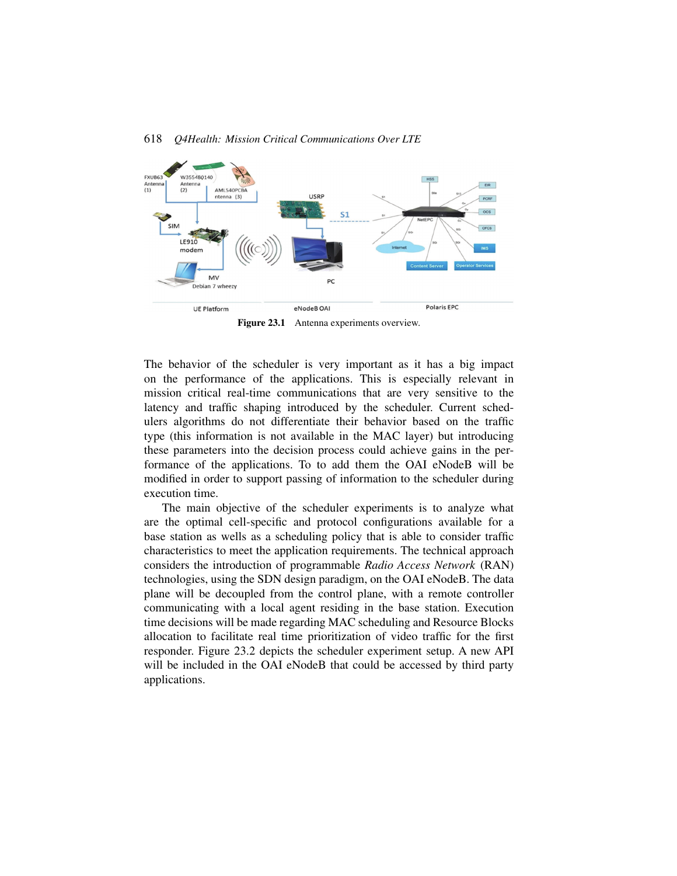

#### 618 *Q4Health: Mission Critical Communications Over LTE*

Figure 23.1 Antenna experiments overview.

The behavior of the scheduler is very important as it has a big impact on the performance of the applications. This is especially relevant in mission critical real-time communications that are very sensitive to the latency and traffic shaping introduced by the scheduler. Current schedulers algorithms do not differentiate their behavior based on the traffic type (this information is not available in the MAC layer) but introducing these parameters into the decision process could achieve gains in the performance of the applications. To to add them the OAI eNodeB will be modified in order to support passing of information to the scheduler during execution time.

The main objective of the scheduler experiments is to analyze what are the optimal cell-specific and protocol configurations available for a base station as wells as a scheduling policy that is able to consider traffic characteristics to meet the application requirements. The technical approach considers the introduction of programmable *Radio Access Network* (RAN) technologies, using the SDN design paradigm, on the OAI eNodeB. The data plane will be decoupled from the control plane, with a remote controller communicating with a local agent residing in the base station. Execution time decisions will be made regarding MAC scheduling and Resource Blocks allocation to facilitate real time prioritization of video traffic for the first responder. Figure 23.2 depicts the scheduler experiment setup. A new API will be included in the OAI eNodeB that could be accessed by third party applications.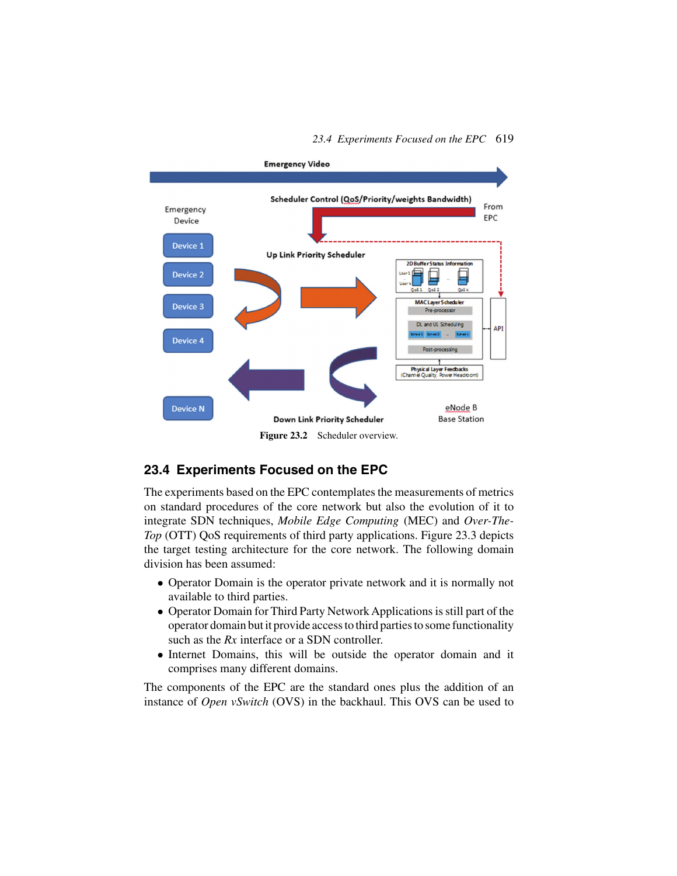#### *23.4 Experiments Focused on the EPC* 619



# **23.4 Experiments Focused on the EPC**

The experiments based on the EPC contemplates the measurements of metrics on standard procedures of the core network but also the evolution of it to integrate SDN techniques, *Mobile Edge Computing* (MEC) and *Over-The-Top* (OTT) QoS requirements of third party applications. Figure 23.3 depicts the target testing architecture for the core network. The following domain division has been assumed:

- Operator Domain is the operator private network and it is normally not available to third parties.
- Operator Domain for Third Party Network Applications is still part of the operator domain but it provide access to third parties to some functionality such as the *Rx* interface or a SDN controller.
- Internet Domains, this will be outside the operator domain and it comprises many different domains.

The components of the EPC are the standard ones plus the addition of an instance of *Open vSwitch* (OVS) in the backhaul. This OVS can be used to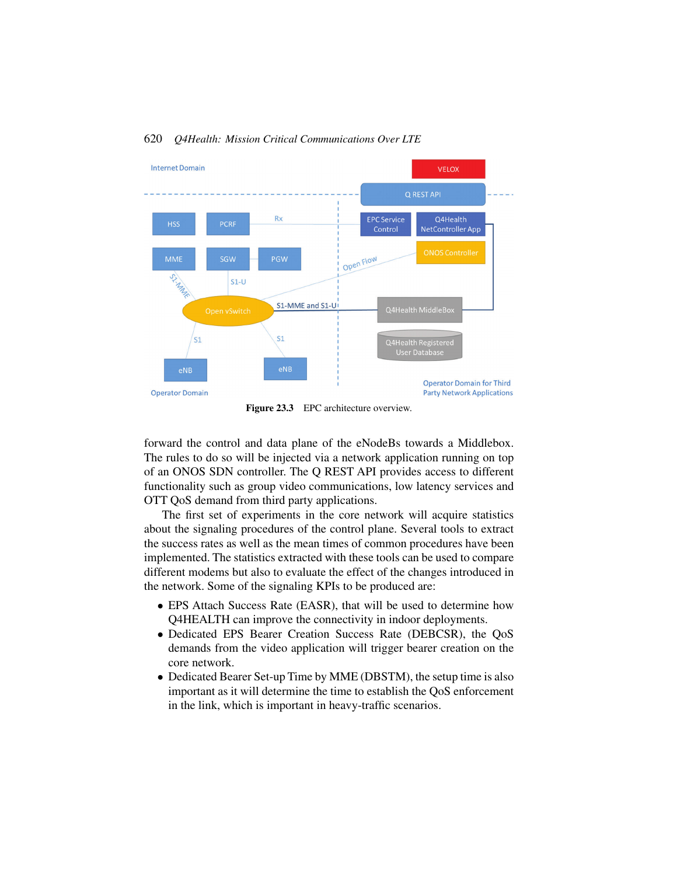

#### 620 *Q4Health: Mission Critical Communications Over LTE*

Figure 23.3 EPC architecture overview.

forward the control and data plane of the eNodeBs towards a Middlebox. The rules to do so will be injected via a network application running on top of an ONOS SDN controller. The Q REST API provides access to different functionality such as group video communications, low latency services and OTT QoS demand from third party applications.

The first set of experiments in the core network will acquire statistics about the signaling procedures of the control plane. Several tools to extract the success rates as well as the mean times of common procedures have been implemented. The statistics extracted with these tools can be used to compare different modems but also to evaluate the effect of the changes introduced in the network. Some of the signaling KPIs to be produced are:

- EPS Attach Success Rate (EASR), that will be used to determine how Q4HEALTH can improve the connectivity in indoor deployments.
- Dedicated EPS Bearer Creation Success Rate (DEBCSR), the QoS demands from the video application will trigger bearer creation on the core network.
- Dedicated Bearer Set-up Time by MME (DBSTM), the setup time is also important as it will determine the time to establish the QoS enforcement in the link, which is important in heavy-traffic scenarios.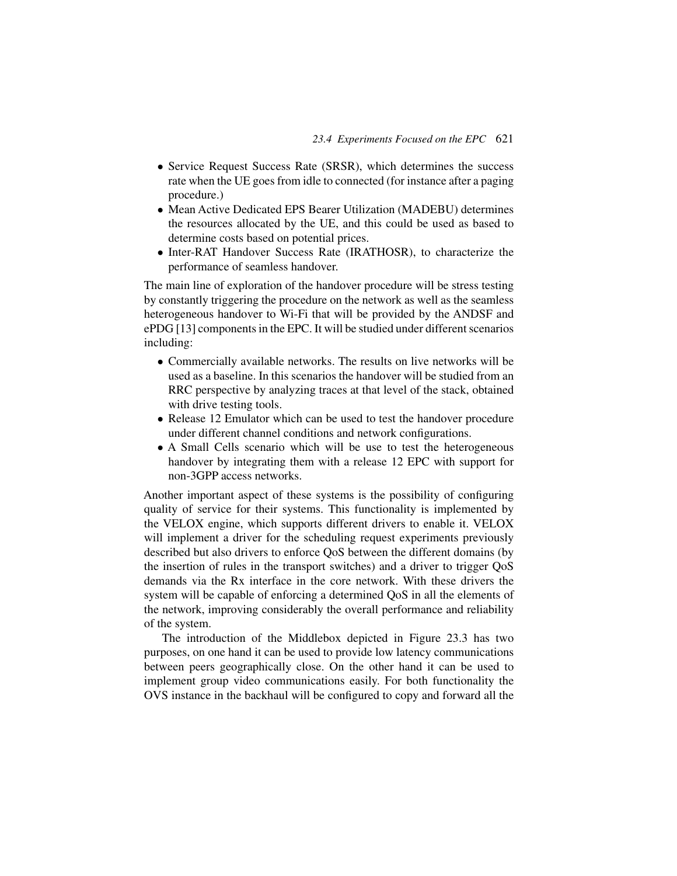- Service Request Success Rate (SRSR), which determines the success rate when the UE goes from idle to connected (for instance after a paging procedure.)
- Mean Active Dedicated EPS Bearer Utilization (MADEBU) determines the resources allocated by the UE, and this could be used as based to determine costs based on potential prices.
- Inter-RAT Handover Success Rate (IRATHOSR), to characterize the performance of seamless handover.

The main line of exploration of the handover procedure will be stress testing by constantly triggering the procedure on the network as well as the seamless heterogeneous handover to Wi-Fi that will be provided by the ANDSF and ePDG [13] components in the EPC. It will be studied under different scenarios including:

- Commercially available networks. The results on live networks will be used as a baseline. In this scenarios the handover will be studied from an RRC perspective by analyzing traces at that level of the stack, obtained with drive testing tools.
- Release 12 Emulator which can be used to test the handover procedure under different channel conditions and network configurations.
- A Small Cells scenario which will be use to test the heterogeneous handover by integrating them with a release 12 EPC with support for non-3GPP access networks.

Another important aspect of these systems is the possibility of configuring quality of service for their systems. This functionality is implemented by the VELOX engine, which supports different drivers to enable it. VELOX will implement a driver for the scheduling request experiments previously described but also drivers to enforce QoS between the different domains (by the insertion of rules in the transport switches) and a driver to trigger QoS demands via the Rx interface in the core network. With these drivers the system will be capable of enforcing a determined QoS in all the elements of the network, improving considerably the overall performance and reliability of the system.

The introduction of the Middlebox depicted in Figure 23.3 has two purposes, on one hand it can be used to provide low latency communications between peers geographically close. On the other hand it can be used to implement group video communications easily. For both functionality the OVS instance in the backhaul will be configured to copy and forward all the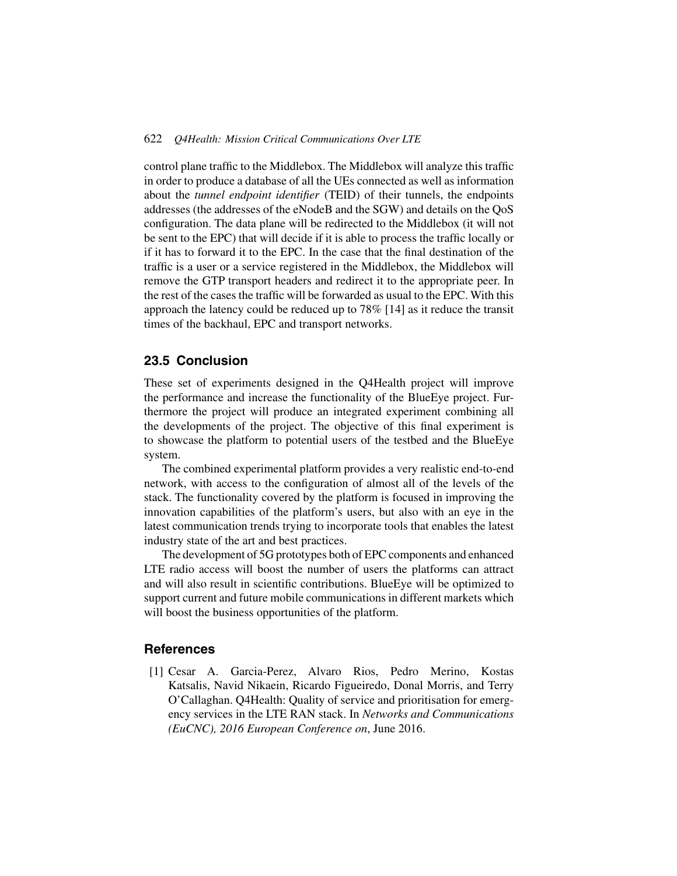control plane traffic to the Middlebox. The Middlebox will analyze this traffic in order to produce a database of all the UEs connected as well as information about the *tunnel endpoint identifier* (TEID) of their tunnels, the endpoints addresses (the addresses of the eNodeB and the SGW) and details on the QoS configuration. The data plane will be redirected to the Middlebox (it will not be sent to the EPC) that will decide if it is able to process the traffic locally or if it has to forward it to the EPC. In the case that the final destination of the traffic is a user or a service registered in the Middlebox, the Middlebox will remove the GTP transport headers and redirect it to the appropriate peer. In the rest of the cases the traffic will be forwarded as usual to the EPC. With this approach the latency could be reduced up to 78% [14] as it reduce the transit times of the backhaul, EPC and transport networks.

## **23.5 Conclusion**

These set of experiments designed in the Q4Health project will improve the performance and increase the functionality of the BlueEye project. Furthermore the project will produce an integrated experiment combining all the developments of the project. The objective of this final experiment is to showcase the platform to potential users of the testbed and the BlueEye system.

The combined experimental platform provides a very realistic end-to-end network, with access to the configuration of almost all of the levels of the stack. The functionality covered by the platform is focused in improving the innovation capabilities of the platform's users, but also with an eye in the latest communication trends trying to incorporate tools that enables the latest industry state of the art and best practices.

The development of 5G prototypes both of EPC components and enhanced LTE radio access will boost the number of users the platforms can attract and will also result in scientific contributions. BlueEye will be optimized to support current and future mobile communications in different markets which will boost the business opportunities of the platform.

## **References**

[1] Cesar A. Garcia-Perez, Alvaro Rios, Pedro Merino, Kostas Katsalis, Navid Nikaein, Ricardo Figueiredo, Donal Morris, and Terry O'Callaghan. Q4Health: Quality of service and prioritisation for emergency services in the LTE RAN stack. In *Networks and Communications (EuCNC), 2016 European Conference on*, June 2016.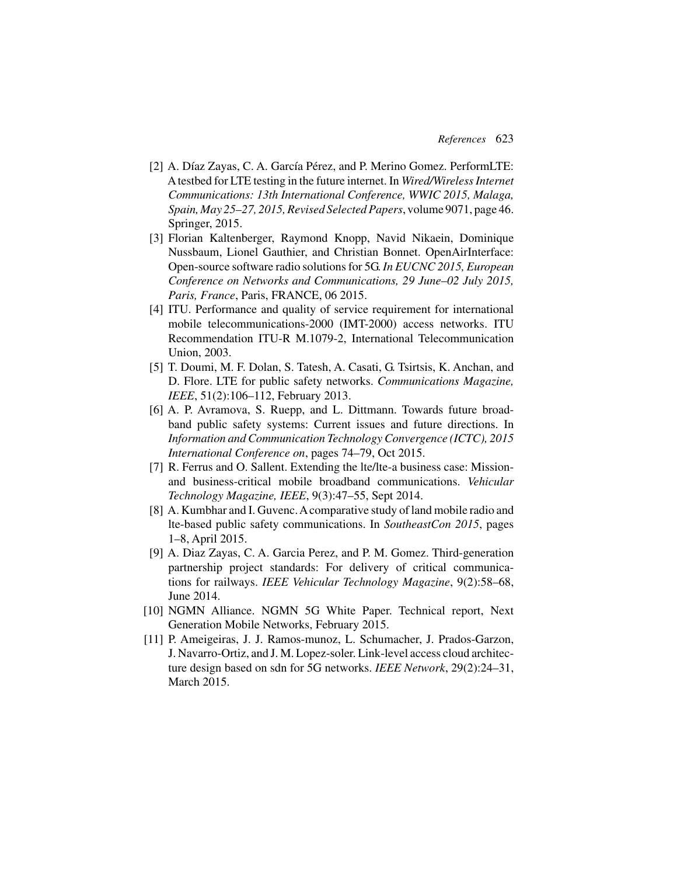- [2] A. Díaz Zayas, C. A. García Pérez, and P. Merino Gomez. PerformLTE: Atestbed for LTE testing in the future internet. In *Wired/Wireless Internet Communications: 13th International Conference, WWIC 2015, Malaga, Spain, May 25–27, 2015, Revised Selected Papers*, volume 9071, page 46. Springer, 2015.
- [3] Florian Kaltenberger, Raymond Knopp, Navid Nikaein, Dominique Nussbaum, Lionel Gauthier, and Christian Bonnet. OpenAirInterface: Open-source software radio solutions for 5G. *In EUCNC 2015, European Conference on Networks and Communications, 29 June–02 July 2015, Paris, France*, Paris, FRANCE, 06 2015.
- [4] ITU. Performance and quality of service requirement for international mobile telecommunications-2000 (IMT-2000) access networks. ITU Recommendation ITU-R M.1079-2, International Telecommunication Union, 2003.
- [5] T. Doumi, M. F. Dolan, S. Tatesh, A. Casati, G. Tsirtsis, K. Anchan, and D. Flore. LTE for public safety networks. *Communications Magazine, IEEE*, 51(2):106–112, February 2013.
- [6] A. P. Avramova, S. Ruepp, and L. Dittmann. Towards future broadband public safety systems: Current issues and future directions. In *Information and Communication Technology Convergence (ICTC), 2015 International Conference on*, pages 74–79, Oct 2015.
- [7] R. Ferrus and O. Sallent. Extending the lte/lte-a business case: Missionand business-critical mobile broadband communications. *Vehicular Technology Magazine, IEEE*, 9(3):47–55, Sept 2014.
- [8] A. Kumbhar and I. Guvenc. A comparative study of land mobile radio and lte-based public safety communications. In *SoutheastCon 2015*, pages 1–8, April 2015.
- [9] A. Diaz Zayas, C. A. Garcia Perez, and P. M. Gomez. Third-generation partnership project standards: For delivery of critical communications for railways. *IEEE Vehicular Technology Magazine*, 9(2):58–68, June 2014.
- [10] NGMN Alliance. NGMN 5G White Paper. Technical report, Next Generation Mobile Networks, February 2015.
- [11] P. Ameigeiras, J. J. Ramos-munoz, L. Schumacher, J. Prados-Garzon, J. Navarro-Ortiz, and J. M. Lopez-soler. Link-level access cloud architecture design based on sdn for 5G networks. *IEEE Network*, 29(2):24–31, March 2015.